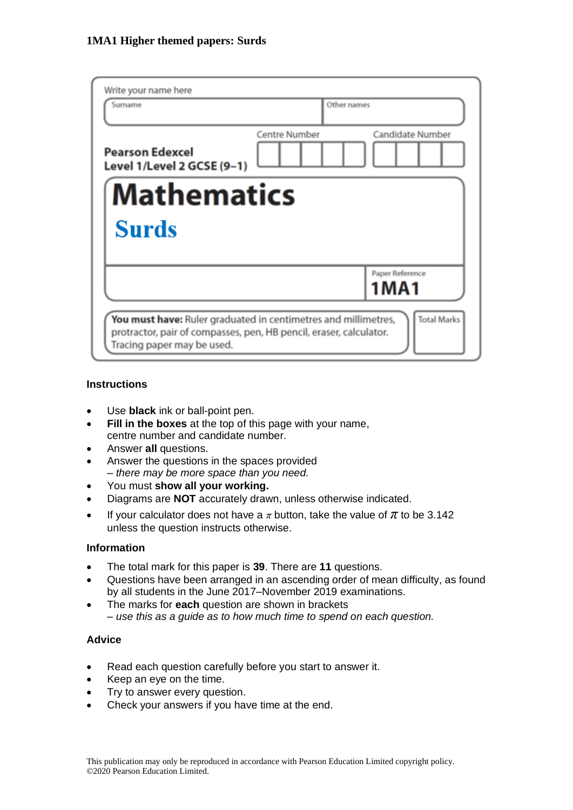| Write your name here<br>Surname                                                                  | Other names                                                                          |
|--------------------------------------------------------------------------------------------------|--------------------------------------------------------------------------------------|
| <b>Pearson Edexcel</b><br>Level 1/Level 2 GCSE (9-1)                                             | <b>Candidate Number</b><br><b>Centre Number</b>                                      |
| <b>Mathematics</b><br>Surds                                                                      |                                                                                      |
|                                                                                                  | Paper Reference<br>1MA1                                                              |
| protractor, pair of compasses, pen, HB pencil, eraser, calculator.<br>Tracing paper may be used. | <b>Total Marks</b><br>You must have: Ruler graduated in centimetres and millimetres, |

#### **Instructions**

- Use **black** ink or ball-point pen.
- **Fill in the boxes** at the top of this page with your name, centre number and candidate number.
- Answer **all** questions.
- Answer the questions in the spaces provided *– there may be more space than you need.*
- You must **show all your working.**
- Diagrams are **NOT** accurately drawn, unless otherwise indicated.
- If your calculator does not have a  $\pi$  button, take the value of  $\pi$  to be 3.142 unless the question instructs otherwise.

#### **Information**

- The total mark for this paper is **39**. There are **11** questions.
- Questions have been arranged in an ascending order of mean difficulty, as found by all students in the June 2017–November 2019 examinations.
- The marks for **each** question are shown in brackets *– use this as a guide as to how much time to spend on each question.*

#### **Advice**

- Read each question carefully before you start to answer it.
- Keep an eye on the time.
- Try to answer every question.
- Check your answers if you have time at the end.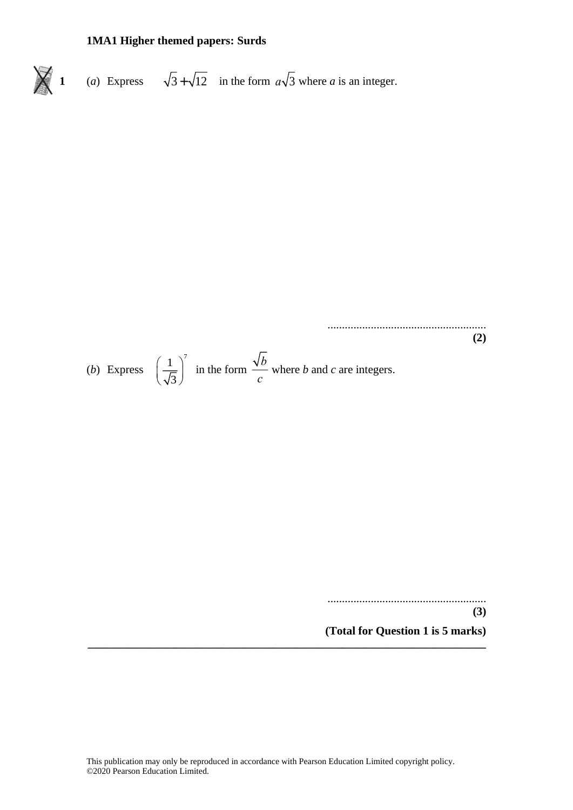1 (a) Express 
$$
\sqrt{3} + \sqrt{12}
$$
 in the form  $a\sqrt{3}$  where *a* is an integer.

(2)  
(b) Express 
$$
\left(\frac{1}{\sqrt{3}}\right)^7
$$
 in the form  $\frac{\sqrt{b}}{c}$  where *b* and *c* are integers.

.......................................................

**(3) (Total for Question 1 is 5 marks)**

**(2)**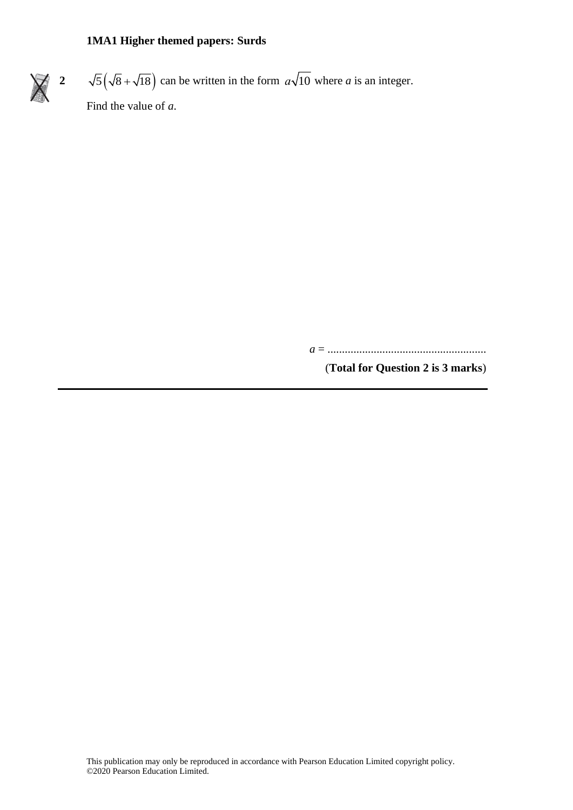**2**  $\sqrt{5}(\sqrt{8} + \sqrt{18})$  can be written in the form  $a\sqrt{10}$  where a is an integer. Find the value of *a*.

*a* = .......................................................

(**Total for Question 2 is 3 marks**)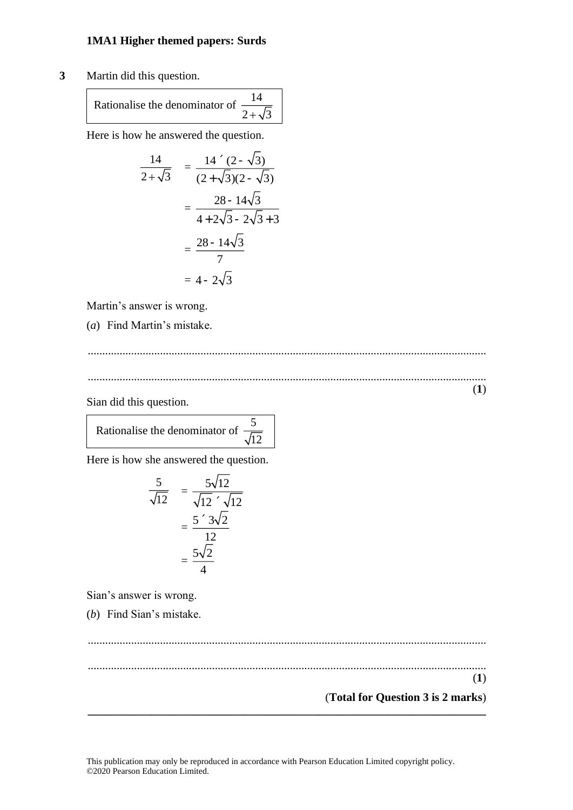**3** Martin did this question.

Rationalise the denominator of 14  $2 +$ 

Here is how he answered the question.

$$
\frac{14}{2+\sqrt{3}} = \frac{14 \cdot (2-\sqrt{3})}{(2+\sqrt{3})(2-\sqrt{3})}
$$

$$
= \frac{28-14\sqrt{3}}{4+2\sqrt{3}-2\sqrt{3}+3}
$$

$$
= \frac{28-14\sqrt{3}}{7}
$$

$$
= 4-2\sqrt{3}
$$

Martin's answer is wrong.

(*a*) Find Martin's mistake.

.......................................................................................................................................... ..........................................................................................................................................

Sian did this question.

(**1**)

Rationalise the denominator of 5  $\sqrt{12}$ 

Here is how she answered the question.

$$
\frac{5}{\sqrt{12}} = \frac{5\sqrt{12}}{\sqrt{12} \cdot \sqrt{12}}
$$

$$
= \frac{5 \cdot 3\sqrt{2}}{12}
$$

$$
= \frac{5\sqrt{2}}{4}
$$

Sian's answer is wrong.

(*b*) Find Sian's mistake.

.......................................................................................................................................... .......................................................................................................................................... (**1**) (**Total for Question 3 is 2 marks**) **\_\_\_\_\_\_\_\_\_\_\_\_\_\_\_\_\_\_\_\_\_\_\_\_\_\_\_\_\_\_\_\_\_\_\_\_\_\_\_\_\_\_\_\_\_\_\_\_\_\_\_\_\_\_\_\_\_\_\_\_\_\_\_\_\_\_\_\_\_**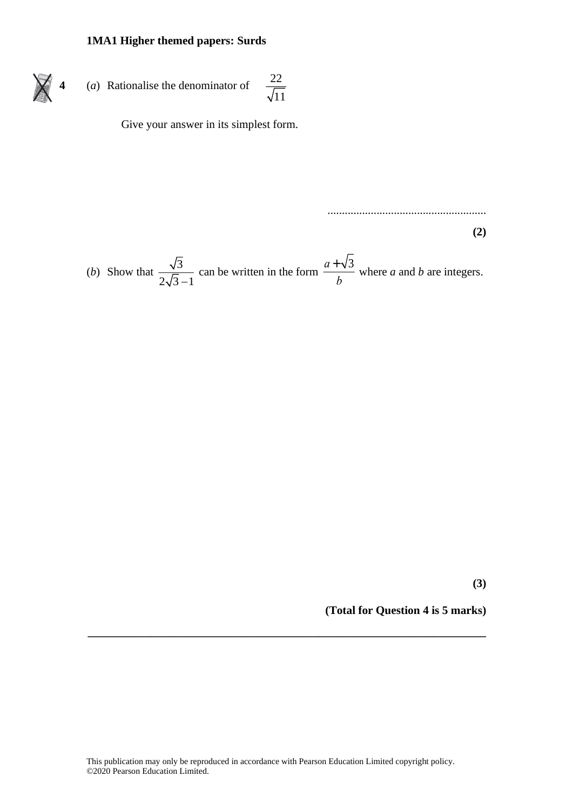4 (a) Rationalise the denominator of 
$$
\frac{22}{\sqrt{11}}
$$

X

Give your answer in its simplest form.

(b) Show that 
$$
\frac{\sqrt{3}}{2\sqrt{3}-1}
$$
 can be written in the form  $\frac{a+\sqrt{3}}{b}$  where *a* and *b* are integers.

**(3)**

**(Total for Question 4 is 5 marks)**

.......................................................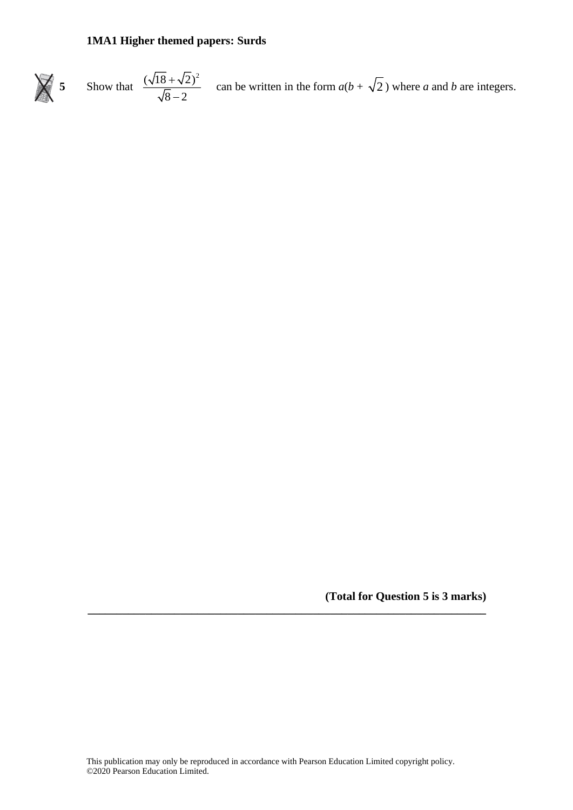

**(Total for Question 5 is 3 marks)**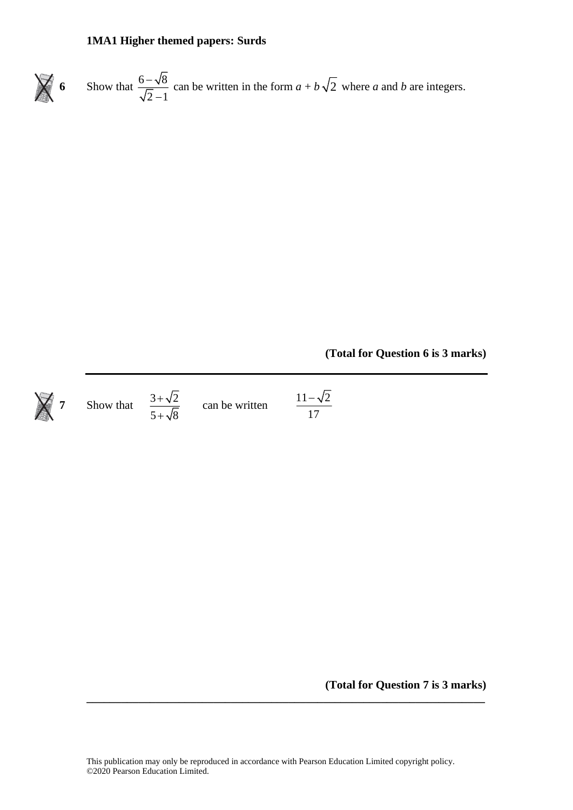



**7** Show that  $\frac{3+\sqrt{2}}{2}$  $5 + \sqrt{8}$ +

 $+\sqrt{8}$  can be written

 $11 - \sqrt{2}$ 17 −

**(Total for Question 7 is 3 marks)**

**(Total for Question 6 is 3 marks)**

This publication may only be reproduced in accordance with Pearson Education Limited copyright policy. ©2020 Pearson Education Limited.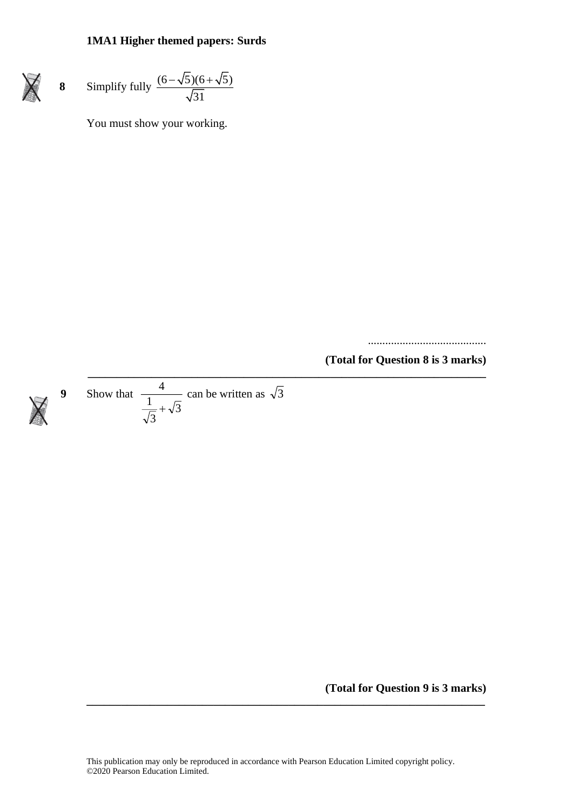$\cancel{\mathsf{X}}$ 

 $\cancel{\times}$ 

8 Simplify fully 
$$
\frac{(6-\sqrt{5})(6+\sqrt{5})}{\sqrt{31}}
$$

You must show your working.

.........................................

**(Total for Question 8 is 3 marks) \_\_\_\_\_\_\_\_\_\_\_\_\_\_\_\_\_\_\_\_\_\_\_\_\_\_\_\_\_\_\_\_\_\_\_\_\_\_\_\_\_\_\_\_\_\_\_\_\_\_\_\_\_\_\_\_\_\_\_\_\_\_\_\_\_\_\_\_\_**

9 Show that 
$$
\frac{4}{\frac{1}{\sqrt{3}} + \sqrt{3}}
$$
 can be written as  $\sqrt{3}$ 

**(Total for Question 9 is 3 marks)**

This publication may only be reproduced in accordance with Pearson Education Limited copyright policy. ©2020 Pearson Education Limited.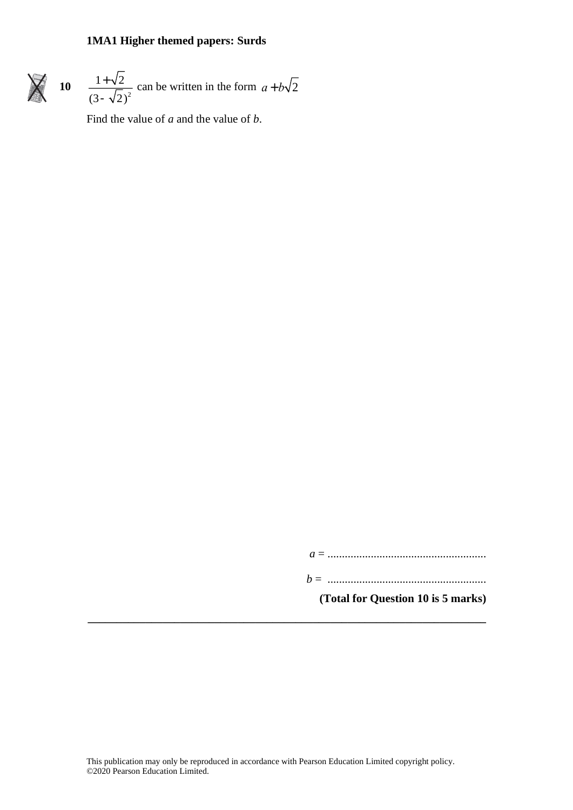

$$
0 \t\t \frac{1+\sqrt{2}}{(3-\sqrt{2})^2}
$$
 can be written in the form  $a+b\sqrt{2}$ 

Find the value of *a* and the value of *b*.

*a* = .......................................................

*b* = .......................................................

**(Total for Question 10 is 5 marks)**